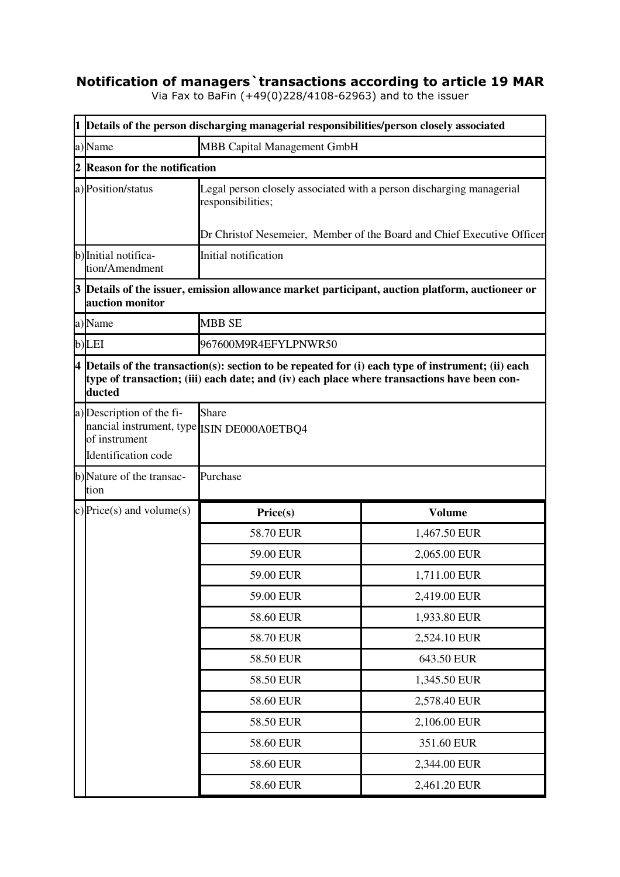## **Notification of managers`transactions according to article 19 MAR**

Via Fax to BaFin (+49(0)228/4108-62963) and to the issuer

|                | 1 Details of the person discharging managerial responsibilities/person closely associated                                                                                                                     |                                                                                           |               |  |
|----------------|---------------------------------------------------------------------------------------------------------------------------------------------------------------------------------------------------------------|-------------------------------------------------------------------------------------------|---------------|--|
|                | MBB Capital Management GmbH<br>a) Name                                                                                                                                                                        |                                                                                           |               |  |
| $\overline{2}$ | <b>Reason for the notification</b>                                                                                                                                                                            |                                                                                           |               |  |
|                | a) Position/status                                                                                                                                                                                            | Legal person closely associated with a person discharging managerial<br>responsibilities; |               |  |
|                |                                                                                                                                                                                                               | Dr Christof Nesemeier, Member of the Board and Chief Executive Officer                    |               |  |
|                | b) Initial notifica-<br>tion/Amendment                                                                                                                                                                        | Initial notification                                                                      |               |  |
|                | $3$ $\vert$ Details of the issuer, emission allowance market participant, auction platform, auctioneer or<br>auction monitor                                                                                  |                                                                                           |               |  |
|                | a)Name                                                                                                                                                                                                        | <b>MBB SE</b>                                                                             |               |  |
|                | b)LEI                                                                                                                                                                                                         | 967600M9R4EFYLPNWR50                                                                      |               |  |
|                | $4$ Details of the transaction(s): section to be repeated for (i) each type of instrument; (ii) each<br>type of transaction; (iii) each date; and (iv) each place where transactions have been con-<br>ducted |                                                                                           |               |  |
|                | a) Description of the fi-<br>nancial instrument, type ISIN DE000A0ETBQ4<br>of instrument<br>Identification code                                                                                               | <b>Share</b>                                                                              |               |  |
|                | b)Nature of the transac-<br>tion                                                                                                                                                                              | Purchase                                                                                  |               |  |
|                | c) Price(s) and volume(s)                                                                                                                                                                                     | Price(s)                                                                                  | <b>Volume</b> |  |
|                |                                                                                                                                                                                                               | 58.70 EUR                                                                                 | 1,467.50 EUR  |  |
|                |                                                                                                                                                                                                               | 59.00 EUR                                                                                 | 2,065.00 EUR  |  |
|                |                                                                                                                                                                                                               | 59.00 EUR                                                                                 | 1,711.00 EUR  |  |
|                |                                                                                                                                                                                                               | 59.00 EUR                                                                                 | 2,419.00 EUR  |  |
|                |                                                                                                                                                                                                               | 58.60 EUR                                                                                 | 1,933.80 EUR  |  |
|                |                                                                                                                                                                                                               | 58.70 EUR                                                                                 | 2,524.10 EUR  |  |
|                |                                                                                                                                                                                                               | 58.50 EUR                                                                                 | 643.50 EUR    |  |
|                |                                                                                                                                                                                                               | 58.50 EUR                                                                                 | 1,345.50 EUR  |  |
|                |                                                                                                                                                                                                               | 58.60 EUR                                                                                 | 2,578.40 EUR  |  |
|                |                                                                                                                                                                                                               | 58.50 EUR                                                                                 | 2,106.00 EUR  |  |
|                |                                                                                                                                                                                                               | 58.60 EUR                                                                                 | 351.60 EUR    |  |
|                |                                                                                                                                                                                                               | 58.60 EUR                                                                                 | 2,344.00 EUR  |  |
|                |                                                                                                                                                                                                               | 58.60 EUR                                                                                 | 2,461.20 EUR  |  |